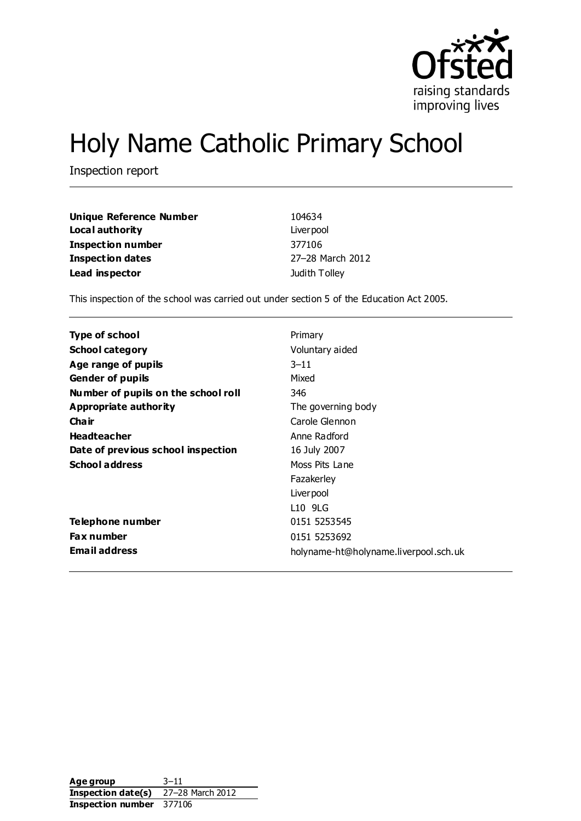

# Holy Name Catholic Primary School

Inspection report

| <b>Unique Reference Number</b> | 104634           |
|--------------------------------|------------------|
| Local authority                | Liver pool       |
| <b>Inspection number</b>       | 377106           |
| <b>Inspection dates</b>        | 27-28 March 2012 |
| Lead inspector                 | Judith Tolley    |

This inspection of the school was carried out under section 5 of the Education Act 2005.

| Type of school                      | Primary                               |
|-------------------------------------|---------------------------------------|
| <b>School category</b>              | Voluntary aided                       |
| Age range of pupils                 | $3 - 11$                              |
| <b>Gender of pupils</b>             | Mixed                                 |
| Number of pupils on the school roll | 346                                   |
| Appropriate authority               | The governing body                    |
| Cha ir                              | Carole Glennon                        |
| <b>Headteacher</b>                  | Anne Radford                          |
| Date of previous school inspection  | 16 July 2007                          |
| <b>School address</b>               | Moss Pits Lane                        |
|                                     | Fazakerley                            |
|                                     | Liver pool                            |
|                                     | L10 9LG                               |
| Telephone number                    | 0151 5253545                          |
| <b>Fax number</b>                   | 0151 5253692                          |
| <b>Email address</b>                | holyname-ht@holyname.liverpool.sch.uk |

Age group 3–11 **Inspection date(s)** 27–28 March 2012 **Inspection number** 377106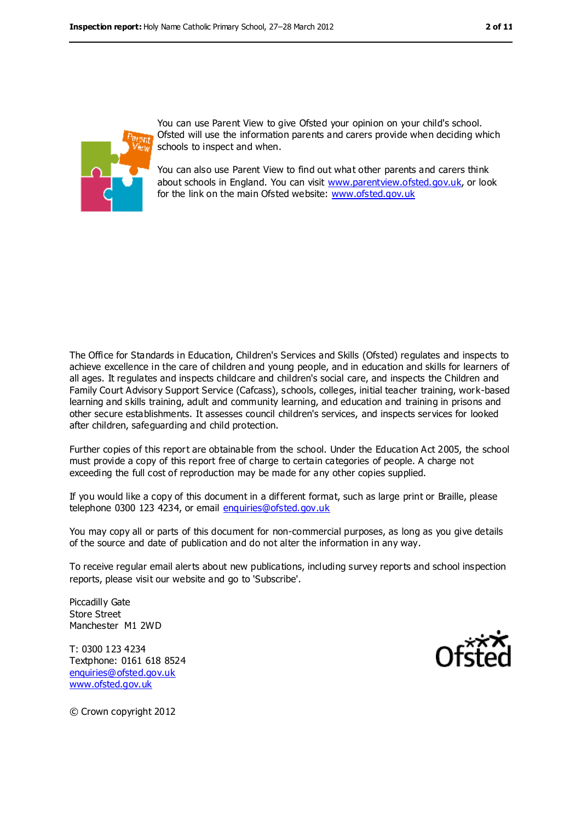



You can use Parent View to give Ofsted your opinion on your child's school. Ofsted will use the information parents and carers provide when deciding which schools to inspect and when.

You can also use Parent View to find out what other parents and carers think about schools in England. You can visit [www.parentview.ofsted.gov.uk,](file:///C:/Users/kculshaw/AppData/Local/Temp/AppData/Local/Microsoft/Windows/Temporary%20Internet%20Files/Content.IE5/AppData/Local/Microsoft/Windows/Temporary%20Internet%20Files/Content.IE5/AppData/Local/Microsoft/Windows/Temporary%20Internet%20Files/Content.IE5/2YF7IKID/www.parentview.ofsted.gov.uk) or look for the link on the main Ofsted website: [www.ofsted.gov.uk](file:///C:/Users/kculshaw/AppData/Local/Temp/AppData/Local/Microsoft/Windows/Temporary%20Internet%20Files/Content.IE5/AppData/Local/Microsoft/Windows/Temporary%20Internet%20Files/Content.IE5/AppData/Local/Microsoft/Windows/Temporary%20Internet%20Files/Content.IE5/2YF7IKID/www.ofsted.gov.uk)

The Office for Standards in Education, Children's Services and Skills (Ofsted) regulates and inspects to achieve excellence in the care of children and young people, and in education and skills for learners of all ages. It regulates and inspects childcare and children's social care, and inspects the Children and Family Court Advisory Support Service (Cafcass), schools, colleges, initial teacher training, work-based learning and skills training, adult and community learning, and education and training in prisons and other secure establishments. It assesses council children's services, and inspects services for looked after children, safeguarding and child protection.

Further copies of this report are obtainable from the school. Under the Education Act 2005, the school must provide a copy of this report free of charge to certain categories of people. A charge not exceeding the full cost of reproduction may be made for any other copies supplied.

If you would like a copy of this document in a different format, such as large print or Braille, please telephone 0300 123 4234, or email [enquiries@ofsted.gov.uk](mailto:enquiries@ofsted.gov.uk)

You may copy all or parts of this document for non-commercial purposes, as long as you give details of the source and date of publication and do not alter the information in any way.

To receive regular email alerts about new publications, including survey reports and school inspection reports, please visit our website and go to 'Subscribe'.

Piccadilly Gate Store Street Manchester M1 2WD

T: 0300 123 4234 Textphone: 0161 618 8524 [enquiries@ofsted.gov.uk](mailto:enquiries@ofsted.gov.uk) [www.ofsted.gov.uk](http://www.ofsted.gov.uk/)



© Crown copyright 2012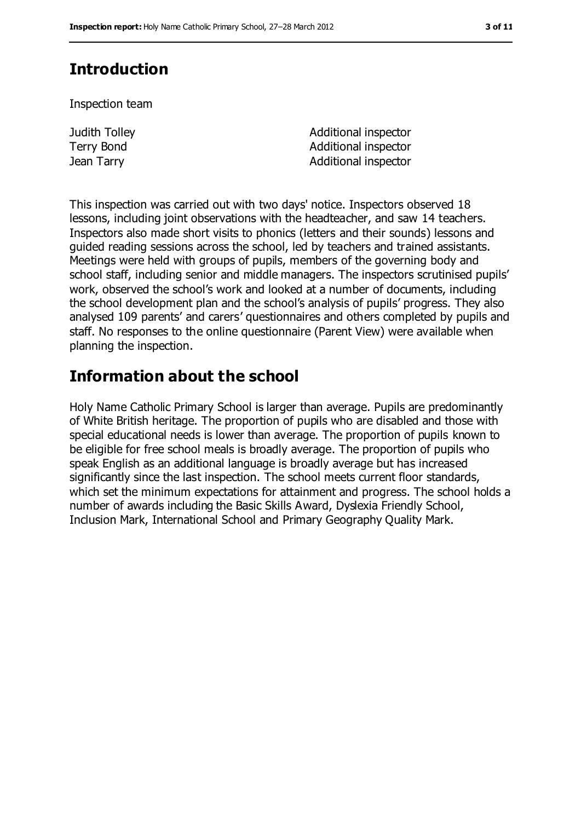## **Introduction**

Inspection team

Judith Tolley Terry Bond

Additional inspector Additional inspector **Jean Tarry Community Community** and Additional inspector

This inspection was carried out with two days' notice. Inspectors observed 18 lessons, including joint observations with the headteacher, and saw 14 teachers. Inspectors also made short visits to phonics (letters and their sounds) lessons and guided reading sessions across the school, led by teachers and trained assistants. Meetings were held with groups of pupils, members of the governing body and school staff, including senior and middle managers. The inspectors scrutinised pupils' work, observed the school's work and looked at a number of documents, including the school development plan and the school's analysis of pupils' progress. They also analysed 109 parents' and carers' questionnaires and others completed by pupils and staff. No responses to the online questionnaire (Parent View) were available when planning the inspection.

## **Information about the school**

Holy Name Catholic Primary School is larger than average. Pupils are predominantly of White British heritage. The proportion of pupils who are disabled and those with special educational needs is lower than average. The proportion of pupils known to be eligible for free school meals is broadly average. The proportion of pupils who speak English as an additional language is broadly average but has increased significantly since the last inspection. The school meets current floor standards, which set the minimum expectations for attainment and progress. The school holds a number of awards including the Basic Skills Award, Dyslexia Friendly School, Inclusion Mark, International School and Primary Geography Quality Mark.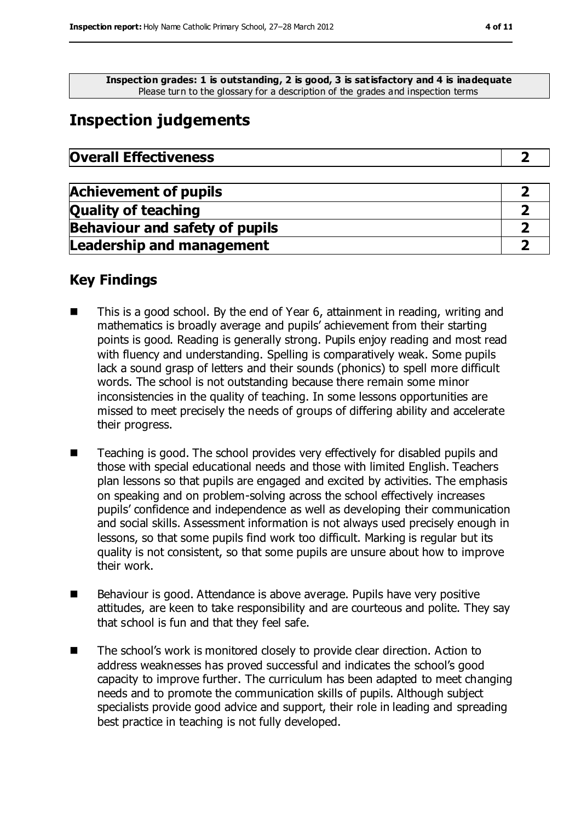**Inspection grades: 1 is outstanding, 2 is good, 3 is satisfactory and 4 is inadequate** Please turn to the glossary for a description of the grades and inspection terms

## **Inspection judgements**

| <b>Overall Effectiveness</b> |  |
|------------------------------|--|
|------------------------------|--|

| <b>Achievement of pupils</b>          |  |
|---------------------------------------|--|
| <b>Quality of teaching</b>            |  |
| <b>Behaviour and safety of pupils</b> |  |
| <b>Leadership and management</b>      |  |

#### **Key Findings**

- This is a good school. By the end of Year 6, attainment in reading, writing and mathematics is broadly average and pupils' achievement from their starting points is good. Reading is generally strong. Pupils enjoy reading and most read with fluency and understanding. Spelling is comparatively weak. Some pupils lack a sound grasp of letters and their sounds (phonics) to spell more difficult words. The school is not outstanding because there remain some minor inconsistencies in the quality of teaching. In some lessons opportunities are missed to meet precisely the needs of groups of differing ability and accelerate their progress.
- Teaching is good. The school provides very effectively for disabled pupils and those with special educational needs and those with limited English. Teachers plan lessons so that pupils are engaged and excited by activities. The emphasis on speaking and on problem-solving across the school effectively increases pupils' confidence and independence as well as developing their communication and social skills. Assessment information is not always used precisely enough in lessons, so that some pupils find work too difficult. Marking is regular but its quality is not consistent, so that some pupils are unsure about how to improve their work.
- Behaviour is good. Attendance is above average. Pupils have very positive attitudes, are keen to take responsibility and are courteous and polite. They say that school is fun and that they feel safe.
- The school's work is monitored closely to provide clear direction. Action to address weaknesses has proved successful and indicates the school's good capacity to improve further. The curriculum has been adapted to meet changing needs and to promote the communication skills of pupils. Although subject specialists provide good advice and support, their role in leading and spreading best practice in teaching is not fully developed.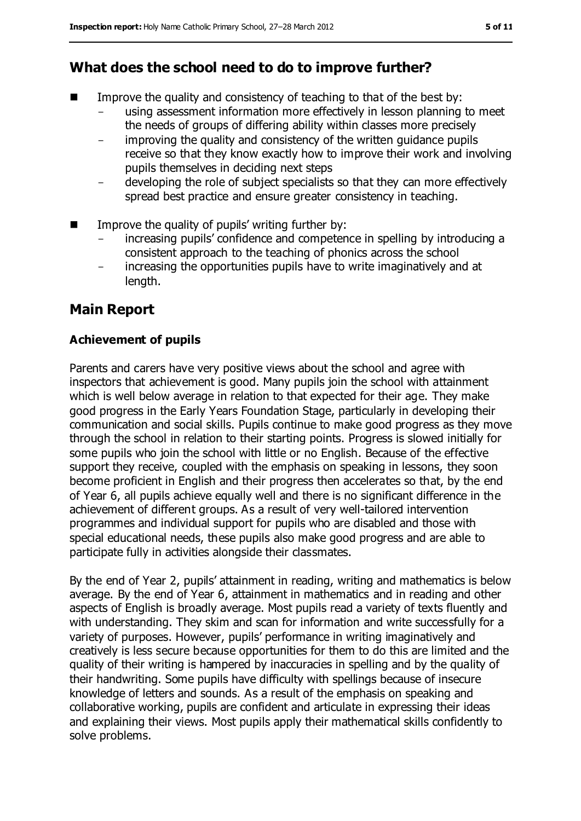## **What does the school need to do to improve further?**

- $\blacksquare$  Improve the quality and consistency of teaching to that of the best by:
	- using assessment information more effectively in lesson planning to meet the needs of groups of differing ability within classes more precisely
	- improving the quality and consistency of the written guidance pupils receive so that they know exactly how to improve their work and involving pupils themselves in deciding next steps
	- developing the role of subject specialists so that they can more effectively spread best practice and ensure greater consistency in teaching.
- $\blacksquare$  Improve the quality of pupils' writing further by:
	- increasing pupils' confidence and competence in spelling by introducing a consistent approach to the teaching of phonics across the school
	- increasing the opportunities pupils have to write imaginatively and at length.

## **Main Report**

#### **Achievement of pupils**

Parents and carers have very positive views about the school and agree with inspectors that achievement is good. Many pupils join the school with attainment which is well below average in relation to that expected for their age. They make good progress in the Early Years Foundation Stage, particularly in developing their communication and social skills. Pupils continue to make good progress as they move through the school in relation to their starting points. Progress is slowed initially for some pupils who join the school with little or no English. Because of the effective support they receive, coupled with the emphasis on speaking in lessons, they soon become proficient in English and their progress then accelerates so that, by the end of Year 6, all pupils achieve equally well and there is no significant difference in the achievement of different groups. As a result of very well-tailored intervention programmes and individual support for pupils who are disabled and those with special educational needs, these pupils also make good progress and are able to participate fully in activities alongside their classmates.

By the end of Year 2, pupils' attainment in reading, writing and mathematics is below average. By the end of Year 6, attainment in mathematics and in reading and other aspects of English is broadly average. Most pupils read a variety of texts fluently and with understanding. They skim and scan for information and write successfully for a variety of purposes. However, pupils' performance in writing imaginatively and creatively is less secure because opportunities for them to do this are limited and the quality of their writing is hampered by inaccuracies in spelling and by the quality of their handwriting. Some pupils have difficulty with spellings because of insecure knowledge of letters and sounds. As a result of the emphasis on speaking and collaborative working, pupils are confident and articulate in expressing their ideas and explaining their views. Most pupils apply their mathematical skills confidently to solve problems.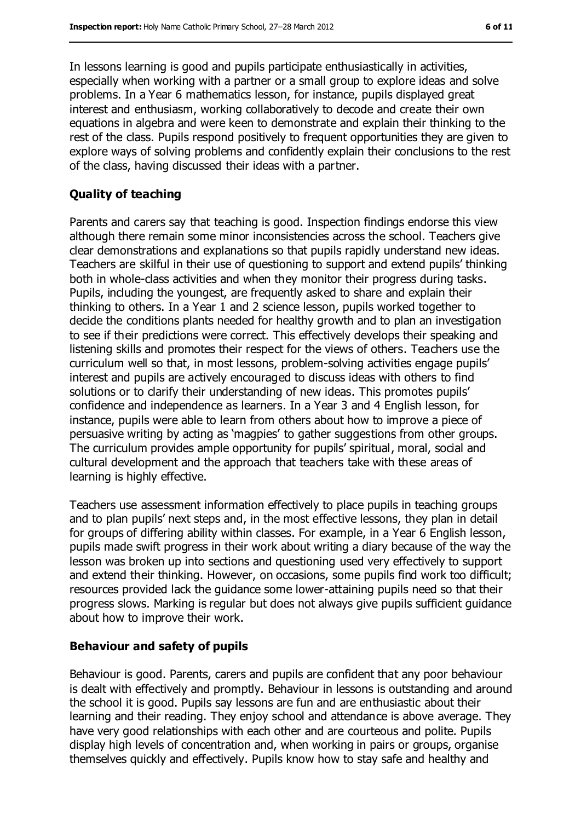In lessons learning is good and pupils participate enthusiastically in activities, especially when working with a partner or a small group to explore ideas and solve problems. In a Year 6 mathematics lesson, for instance, pupils displayed great interest and enthusiasm, working collaboratively to decode and create their own equations in algebra and were keen to demonstrate and explain their thinking to the rest of the class. Pupils respond positively to frequent opportunities they are given to explore ways of solving problems and confidently explain their conclusions to the rest of the class, having discussed their ideas with a partner.

#### **Quality of teaching**

Parents and carers say that teaching is good. Inspection findings endorse this view although there remain some minor inconsistencies across the school. Teachers give clear demonstrations and explanations so that pupils rapidly understand new ideas. Teachers are skilful in their use of questioning to support and extend pupils' thinking both in whole-class activities and when they monitor their progress during tasks. Pupils, including the youngest, are frequently asked to share and explain their thinking to others. In a Year 1 and 2 science lesson, pupils worked together to decide the conditions plants needed for healthy growth and to plan an investigation to see if their predictions were correct. This effectively develops their speaking and listening skills and promotes their respect for the views of others. Teachers use the curriculum well so that, in most lessons, problem-solving activities engage pupils' interest and pupils are actively encouraged to discuss ideas with others to find solutions or to clarify their understanding of new ideas. This promotes pupils' confidence and independence as learners. In a Year 3 and 4 English lesson, for instance, pupils were able to learn from others about how to improve a piece of persuasive writing by acting as 'magpies' to gather suggestions from other groups. The curriculum provides ample opportunity for pupils' spiritual, moral, social and cultural development and the approach that teachers take with these areas of learning is highly effective.

Teachers use assessment information effectively to place pupils in teaching groups and to plan pupils' next steps and, in the most effective lessons, they plan in detail for groups of differing ability within classes. For example, in a Year 6 English lesson, pupils made swift progress in their work about writing a diary because of the way the lesson was broken up into sections and questioning used very effectively to support and extend their thinking. However, on occasions, some pupils find work too difficult; resources provided lack the guidance some lower-attaining pupils need so that their progress slows. Marking is regular but does not always give pupils sufficient guidance about how to improve their work.

#### **Behaviour and safety of pupils**

Behaviour is good. Parents, carers and pupils are confident that any poor behaviour is dealt with effectively and promptly. Behaviour in lessons is outstanding and around the school it is good. Pupils say lessons are fun and are enthusiastic about their learning and their reading. They enjoy school and attendance is above average. They have very good relationships with each other and are courteous and polite. Pupils display high levels of concentration and, when working in pairs or groups, organise themselves quickly and effectively. Pupils know how to stay safe and healthy and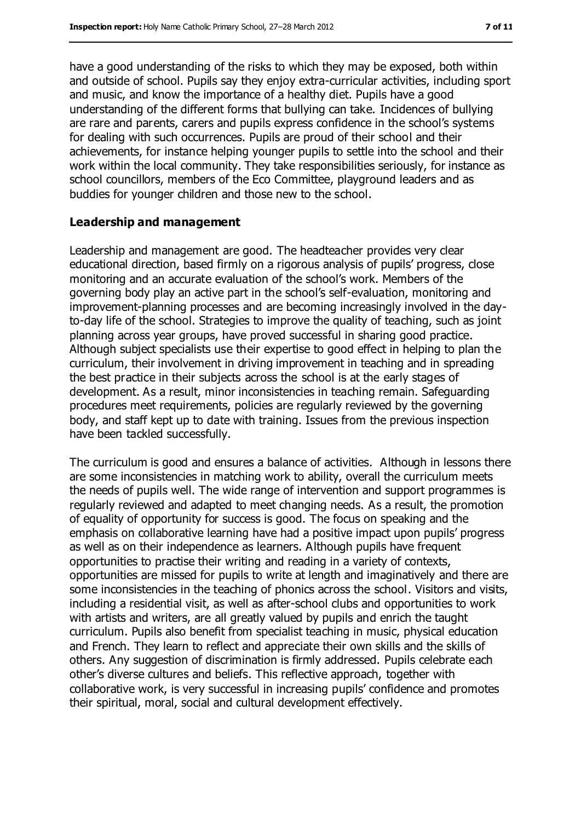buddies for younger children and those new to the school.

have a good understanding of the risks to which they may be exposed, both within and outside of school. Pupils say they enjoy extra-curricular activities, including sport and music, and know the importance of a healthy diet. Pupils have a good understanding of the different forms that bullying can take. Incidences of bullying are rare and parents, carers and pupils express confidence in the school's systems for dealing with such occurrences. Pupils are proud of their school and their achievements, for instance helping younger pupils to settle into the school and their work within the local community. They take responsibilities seriously, for instance as

school councillors, members of the Eco Committee, playground leaders and as

#### **Leadership and management**

Leadership and management are good. The headteacher provides very clear educational direction, based firmly on a rigorous analysis of pupils' progress, close monitoring and an accurate evaluation of the school's work. Members of the governing body play an active part in the school's self-evaluation, monitoring and improvement-planning processes and are becoming increasingly involved in the dayto-day life of the school. Strategies to improve the quality of teaching, such as joint planning across year groups, have proved successful in sharing good practice. Although subject specialists use their expertise to good effect in helping to plan the curriculum, their involvement in driving improvement in teaching and in spreading the best practice in their subjects across the school is at the early stages of development. As a result, minor inconsistencies in teaching remain. Safeguarding procedures meet requirements, policies are regularly reviewed by the governing body, and staff kept up to date with training. Issues from the previous inspection have been tackled successfully.

The curriculum is good and ensures a balance of activities. Although in lessons there are some inconsistencies in matching work to ability, overall the curriculum meets the needs of pupils well. The wide range of intervention and support programmes is regularly reviewed and adapted to meet changing needs. As a result, the promotion of equality of opportunity for success is good. The focus on speaking and the emphasis on collaborative learning have had a positive impact upon pupils' progress as well as on their independence as learners. Although pupils have frequent opportunities to practise their writing and reading in a variety of contexts, opportunities are missed for pupils to write at length and imaginatively and there are some inconsistencies in the teaching of phonics across the school. Visitors and visits, including a residential visit, as well as after-school clubs and opportunities to work with artists and writers, are all greatly valued by pupils and enrich the taught curriculum. Pupils also benefit from specialist teaching in music, physical education and French. They learn to reflect and appreciate their own skills and the skills of others. Any suggestion of discrimination is firmly addressed. Pupils celebrate each other's diverse cultures and beliefs. This reflective approach, together with collaborative work, is very successful in increasing pupils' confidence and promotes their spiritual, moral, social and cultural development effectively.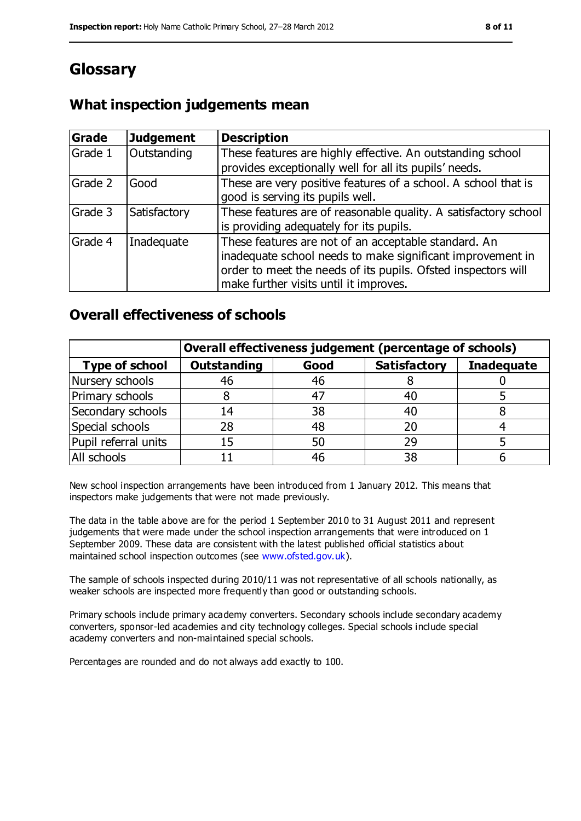## **Glossary**

### **What inspection judgements mean**

| Grade   | <b>Judgement</b> | <b>Description</b>                                                                                                                                                                                                            |
|---------|------------------|-------------------------------------------------------------------------------------------------------------------------------------------------------------------------------------------------------------------------------|
| Grade 1 | Outstanding      | These features are highly effective. An outstanding school<br>provides exceptionally well for all its pupils' needs.                                                                                                          |
| Grade 2 | Good             | These are very positive features of a school. A school that is<br>good is serving its pupils well.                                                                                                                            |
| Grade 3 | Satisfactory     | These features are of reasonable quality. A satisfactory school<br>is providing adequately for its pupils.                                                                                                                    |
| Grade 4 | Inadequate       | These features are not of an acceptable standard. An<br>inadequate school needs to make significant improvement in<br>order to meet the needs of its pupils. Ofsted inspectors will<br>make further visits until it improves. |

#### **Overall effectiveness of schools**

|                       | Overall effectiveness judgement (percentage of schools) |      |                     |                   |
|-----------------------|---------------------------------------------------------|------|---------------------|-------------------|
| <b>Type of school</b> | <b>Outstanding</b>                                      | Good | <b>Satisfactory</b> | <b>Inadequate</b> |
| Nursery schools       | 46                                                      | 46   |                     |                   |
| Primary schools       |                                                         | 47   | 40                  |                   |
| Secondary schools     | 14                                                      | 38   | 40                  |                   |
| Special schools       | 28                                                      | 48   | 20                  |                   |
| Pupil referral units  | 15                                                      | 50   | 29                  |                   |
| All schools           |                                                         | 46   | 38                  |                   |

New school inspection arrangements have been introduced from 1 January 2012. This means that inspectors make judgements that were not made previously.

The data in the table above are for the period 1 September 2010 to 31 August 2011 and represent judgements that were made under the school inspection arrangements that were introduced on 1 September 2009. These data are consistent with the latest published official statistics about maintained school inspection outcomes (see [www.ofsted.gov.uk\)](file:///C:/Users/kculshaw/AppData/Local/Temp/AppData/Local/Microsoft/Windows/Temporary%20Internet%20Files/Content.IE5/AppData/Local/Microsoft/Windows/Temporary%20Internet%20Files/Content.IE5/AppData/Local/Microsoft/Windows/Temporary%20Internet%20Files/Content.IE5/2YF7IKID/www.ofsted.gov.uk).

The sample of schools inspected during 2010/11 was not representative of all schools nationally, as weaker schools are inspected more frequently than good or outstanding schools.

Primary schools include primary academy converters. Secondary schools include secondary academy converters, sponsor-led academies and city technology colleges. Special schools include special academy converters and non-maintained special schools.

Percentages are rounded and do not always add exactly to 100.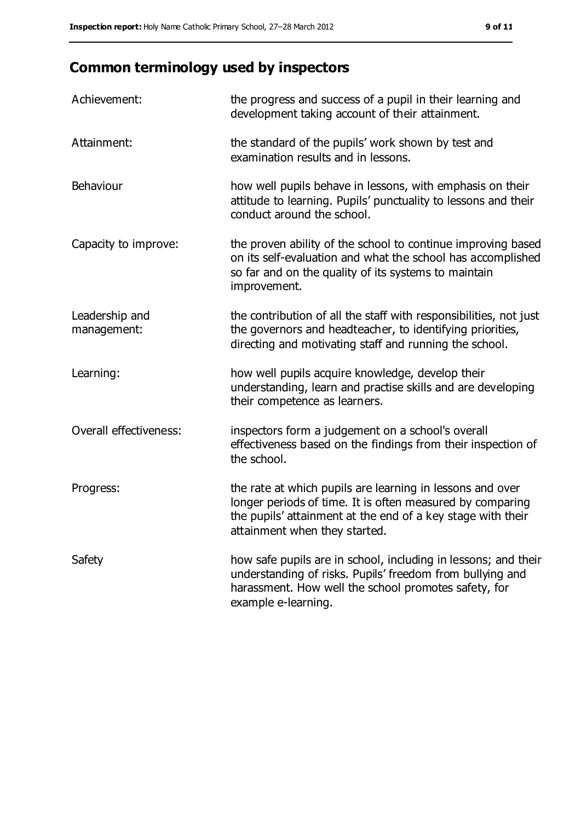## **Common terminology used by inspectors**

| Achievement:                  | the progress and success of a pupil in their learning and<br>development taking account of their attainment.                                                                                                           |
|-------------------------------|------------------------------------------------------------------------------------------------------------------------------------------------------------------------------------------------------------------------|
| Attainment:                   | the standard of the pupils' work shown by test and<br>examination results and in lessons.                                                                                                                              |
| Behaviour                     | how well pupils behave in lessons, with emphasis on their<br>attitude to learning. Pupils' punctuality to lessons and their<br>conduct around the school.                                                              |
| Capacity to improve:          | the proven ability of the school to continue improving based<br>on its self-evaluation and what the school has accomplished<br>so far and on the quality of its systems to maintain<br>improvement.                    |
| Leadership and<br>management: | the contribution of all the staff with responsibilities, not just<br>the governors and headteacher, to identifying priorities,<br>directing and motivating staff and running the school.                               |
| Learning:                     | how well pupils acquire knowledge, develop their<br>understanding, learn and practise skills and are developing<br>their competence as learners.                                                                       |
| Overall effectiveness:        | inspectors form a judgement on a school's overall<br>effectiveness based on the findings from their inspection of<br>the school.                                                                                       |
| Progress:                     | the rate at which pupils are learning in lessons and over<br>longer periods of time. It is often measured by comparing<br>the pupils' attainment at the end of a key stage with their<br>attainment when they started. |
| Safety                        | how safe pupils are in school, including in lessons; and their<br>understanding of risks. Pupils' freedom from bullying and<br>harassment. How well the school promotes safety, for<br>example e-learning.             |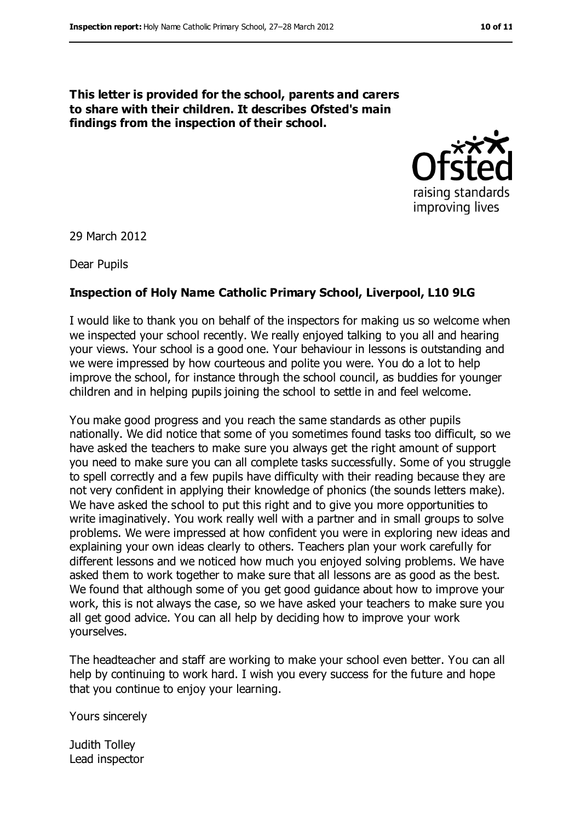**This letter is provided for the school, parents and carers to share with their children. It describes Ofsted's main findings from the inspection of their school.**



29 March 2012

Dear Pupils

#### **Inspection of Holy Name Catholic Primary School, Liverpool, L10 9LG**

I would like to thank you on behalf of the inspectors for making us so welcome when we inspected your school recently. We really enjoyed talking to you all and hearing your views. Your school is a good one. Your behaviour in lessons is outstanding and we were impressed by how courteous and polite you were. You do a lot to help improve the school, for instance through the school council, as buddies for younger children and in helping pupils joining the school to settle in and feel welcome.

You make good progress and you reach the same standards as other pupils nationally. We did notice that some of you sometimes found tasks too difficult, so we have asked the teachers to make sure you always get the right amount of support you need to make sure you can all complete tasks successfully. Some of you struggle to spell correctly and a few pupils have difficulty with their reading because they are not very confident in applying their knowledge of phonics (the sounds letters make). We have asked the school to put this right and to give you more opportunities to write imaginatively. You work really well with a partner and in small groups to solve problems. We were impressed at how confident you were in exploring new ideas and explaining your own ideas clearly to others. Teachers plan your work carefully for different lessons and we noticed how much you enjoyed solving problems. We have asked them to work together to make sure that all lessons are as good as the best. We found that although some of you get good guidance about how to improve your work, this is not always the case, so we have asked your teachers to make sure you all get good advice. You can all help by deciding how to improve your work yourselves.

The headteacher and staff are working to make your school even better. You can all help by continuing to work hard. I wish you every success for the future and hope that you continue to enjoy your learning.

Yours sincerely

Judith Tolley Lead inspector